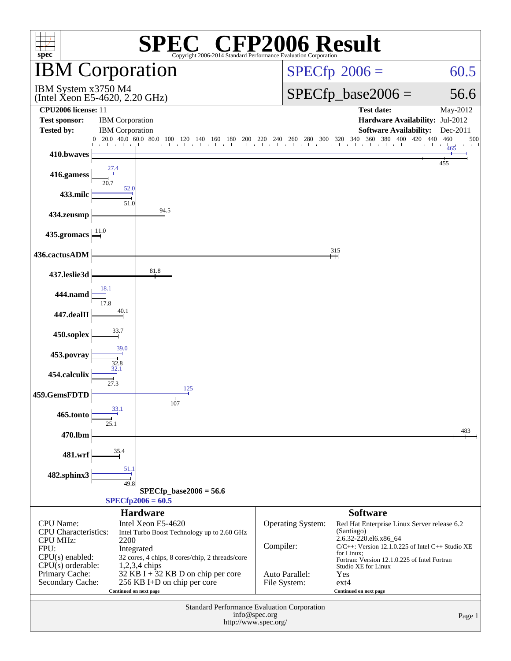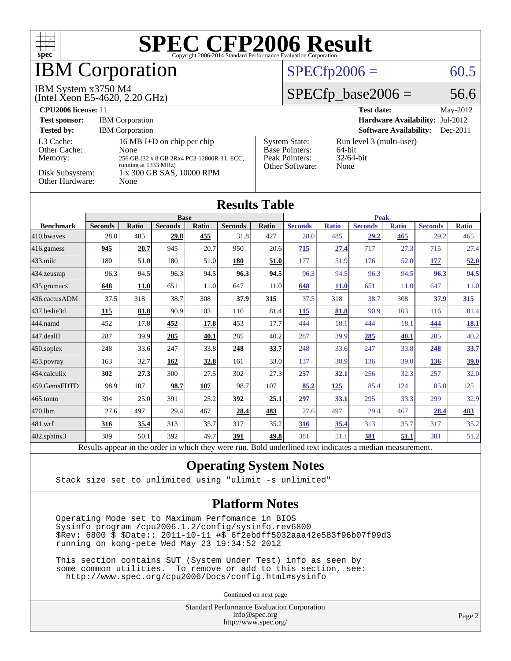

Results appear in the [order in which they were run.](http://www.spec.org/auto/cpu2006/Docs/result-fields.html#RunOrder) Bold underlined text [indicates a median measurement.](http://www.spec.org/auto/cpu2006/Docs/result-fields.html#Median)

#### **[Operating System Notes](http://www.spec.org/auto/cpu2006/Docs/result-fields.html#OperatingSystemNotes)**

Stack size set to unlimited using "ulimit -s unlimited"

#### **[Platform Notes](http://www.spec.org/auto/cpu2006/Docs/result-fields.html#PlatformNotes)**

 Operating Mode set to Maximum Perfomance in BIOS Sysinfo program /cpu2006.1.2/config/sysinfo.rev6800 \$Rev: 6800 \$ \$Date:: 2011-10-11 #\$ 6f2ebdff5032aaa42e583f96b07f99d3 running on kong-pete Wed May 23 19:34:52 2012

 This section contains SUT (System Under Test) info as seen by some common utilities. To remove or add to this section, see: <http://www.spec.org/cpu2006/Docs/config.html#sysinfo>

Continued on next page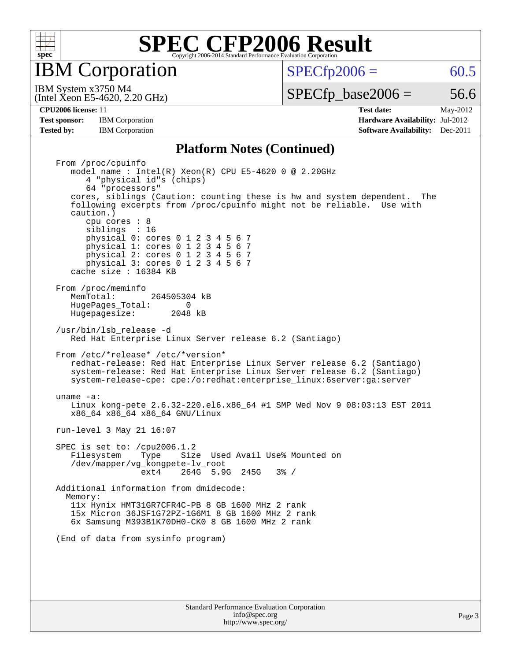

IBM Corporation

 $SPECTp2006 = 60.5$ 

(Intel Xeon E5-4620, 2.20 GHz) IBM System x3750 M4

 $SPECTp\_base2006 = 56.6$ 

**[Test sponsor:](http://www.spec.org/auto/cpu2006/Docs/result-fields.html#Testsponsor)** IBM Corporation **[Hardware Availability:](http://www.spec.org/auto/cpu2006/Docs/result-fields.html#HardwareAvailability)** Jul-2012 **[Tested by:](http://www.spec.org/auto/cpu2006/Docs/result-fields.html#Testedby)** IBM Corporation **[Software Availability:](http://www.spec.org/auto/cpu2006/Docs/result-fields.html#SoftwareAvailability)** Dec-2011

**[CPU2006 license:](http://www.spec.org/auto/cpu2006/Docs/result-fields.html#CPU2006license)** 11 **[Test date:](http://www.spec.org/auto/cpu2006/Docs/result-fields.html#Testdate)** May-2012

#### **[Platform Notes \(Continued\)](http://www.spec.org/auto/cpu2006/Docs/result-fields.html#PlatformNotes)**

 From /proc/cpuinfo model name : Intel(R) Xeon(R) CPU E5-4620 0 @ 2.20GHz 4 "physical id"s (chips) 64 "processors" cores, siblings (Caution: counting these is hw and system dependent. The following excerpts from /proc/cpuinfo might not be reliable. Use with caution.) cpu cores : 8 siblings : 16 physical 0: cores 0 1 2 3 4 5 6 7 physical 1: cores 0 1 2 3 4 5 6 7 physical 2: cores 0 1 2 3 4 5 6 7 physical 3: cores 0 1 2 3 4 5 6 7 cache size : 16384 KB From /proc/meminfo<br>MemTotal: 264505304 kB HugePages\_Total: 0<br>Hugepagesize: 2048 kB Hugepagesize: /usr/bin/lsb\_release -d Red Hat Enterprise Linux Server release 6.2 (Santiago) From /etc/\*release\* /etc/\*version\* redhat-release: Red Hat Enterprise Linux Server release 6.2 (Santiago) system-release: Red Hat Enterprise Linux Server release 6.2 (Santiago) system-release-cpe: cpe:/o:redhat:enterprise\_linux:6server:ga:server uname -a: Linux kong-pete 2.6.32-220.el6.x86\_64 #1 SMP Wed Nov 9 08:03:13 EST 2011 x86\_64 x86\_64 x86\_64 GNU/Linux run-level 3 May 21 16:07 SPEC is set to: /cpu2006.1.2 Filesystem Type Size Used Avail Use% Mounted on /dev/mapper/vg\_kongpete-lv\_root ext4 264G 5.9G 245G 3% / Additional information from dmidecode: Memory: 11x Hynix HMT31GR7CFR4C-PB 8 GB 1600 MHz 2 rank 15x Micron 36JSF1G72PZ-1G6M1 8 GB 1600 MHz 2 rank 6x Samsung M393B1K70DH0-CK0 8 GB 1600 MHz 2 rank (End of data from sysinfo program)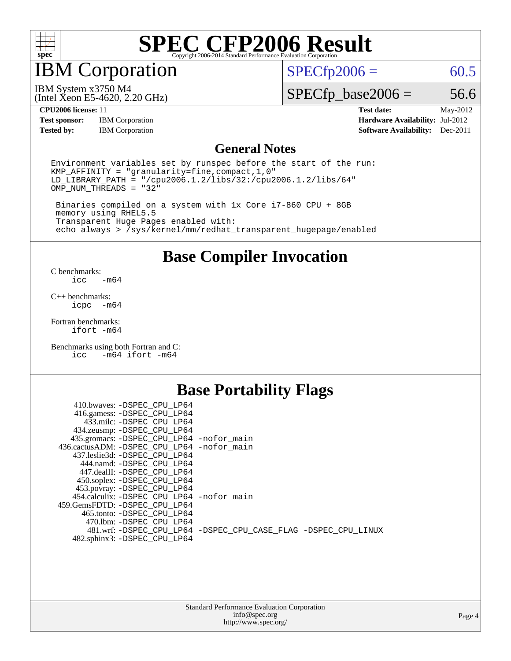

### IBM Corporation

 $SPECfp2006 = 60.5$  $SPECfp2006 = 60.5$ 

(Intel Xeon E5-4620, 2.20 GHz) IBM System x3750 M4

 $SPECfp\_base2006 = 56.6$ 

**[Test sponsor:](http://www.spec.org/auto/cpu2006/Docs/result-fields.html#Testsponsor)** IBM Corporation **[Hardware Availability:](http://www.spec.org/auto/cpu2006/Docs/result-fields.html#HardwareAvailability)** Jul-2012 **[Tested by:](http://www.spec.org/auto/cpu2006/Docs/result-fields.html#Testedby)** IBM Corporation **[Software Availability:](http://www.spec.org/auto/cpu2006/Docs/result-fields.html#SoftwareAvailability)** Dec-2011

**[CPU2006 license:](http://www.spec.org/auto/cpu2006/Docs/result-fields.html#CPU2006license)** 11 **[Test date:](http://www.spec.org/auto/cpu2006/Docs/result-fields.html#Testdate)** May-2012

#### **[General Notes](http://www.spec.org/auto/cpu2006/Docs/result-fields.html#GeneralNotes)**

Environment variables set by runspec before the start of the run: KMP\_AFFINITY = "granularity=fine,compact,1,0" LD\_LIBRARY\_PATH = "/cpu2006.1.2/libs/32:/cpu2006.1.2/libs/64"  $OMP_NUM_THREADS = "32"$ 

 Binaries compiled on a system with 1x Core i7-860 CPU + 8GB memory using RHEL5.5 Transparent Huge Pages enabled with: echo always > /sys/kernel/mm/redhat\_transparent\_hugepage/enabled

**[Base Compiler Invocation](http://www.spec.org/auto/cpu2006/Docs/result-fields.html#BaseCompilerInvocation)**

[C benchmarks](http://www.spec.org/auto/cpu2006/Docs/result-fields.html#Cbenchmarks):  $-m64$ 

[C++ benchmarks:](http://www.spec.org/auto/cpu2006/Docs/result-fields.html#CXXbenchmarks) [icpc -m64](http://www.spec.org/cpu2006/results/res2012q3/cpu2006-20120716-23759.flags.html#user_CXXbase_intel_icpc_64bit_bedb90c1146cab66620883ef4f41a67e)

[Fortran benchmarks](http://www.spec.org/auto/cpu2006/Docs/result-fields.html#Fortranbenchmarks): [ifort -m64](http://www.spec.org/cpu2006/results/res2012q3/cpu2006-20120716-23759.flags.html#user_FCbase_intel_ifort_64bit_ee9d0fb25645d0210d97eb0527dcc06e)

[Benchmarks using both Fortran and C](http://www.spec.org/auto/cpu2006/Docs/result-fields.html#BenchmarksusingbothFortranandC): [icc -m64](http://www.spec.org/cpu2006/results/res2012q3/cpu2006-20120716-23759.flags.html#user_CC_FCbase_intel_icc_64bit_0b7121f5ab7cfabee23d88897260401c) [ifort -m64](http://www.spec.org/cpu2006/results/res2012q3/cpu2006-20120716-23759.flags.html#user_CC_FCbase_intel_ifort_64bit_ee9d0fb25645d0210d97eb0527dcc06e)

#### **[Base Portability Flags](http://www.spec.org/auto/cpu2006/Docs/result-fields.html#BasePortabilityFlags)**

| 410.bwaves: -DSPEC CPU LP64                 |                                                                |
|---------------------------------------------|----------------------------------------------------------------|
| 416.gamess: -DSPEC_CPU_LP64                 |                                                                |
| 433.milc: -DSPEC CPU LP64                   |                                                                |
| 434.zeusmp: -DSPEC_CPU_LP64                 |                                                                |
| 435.gromacs: -DSPEC_CPU_LP64 -nofor_main    |                                                                |
| 436.cactusADM: -DSPEC CPU LP64 -nofor main  |                                                                |
| 437.leslie3d: -DSPEC CPU LP64               |                                                                |
| 444.namd: -DSPEC CPU LP64                   |                                                                |
| 447.dealII: -DSPEC CPU LP64                 |                                                                |
| 450.soplex: -DSPEC_CPU_LP64                 |                                                                |
| 453.povray: -DSPEC_CPU_LP64                 |                                                                |
| 454.calculix: - DSPEC CPU LP64 - nofor main |                                                                |
| 459. GemsFDTD: - DSPEC CPU LP64             |                                                                |
| 465.tonto: - DSPEC CPU LP64                 |                                                                |
| 470.1bm: - DSPEC CPU LP64                   |                                                                |
|                                             | 481.wrf: -DSPEC_CPU_LP64 -DSPEC_CPU_CASE_FLAG -DSPEC_CPU_LINUX |
| 482.sphinx3: -DSPEC_CPU_LP64                |                                                                |
|                                             |                                                                |

| <b>Standard Performance Evaluation Corporation</b> |  |  |
|----------------------------------------------------|--|--|
| info@spec.org                                      |  |  |
| http://www.spec.org/                               |  |  |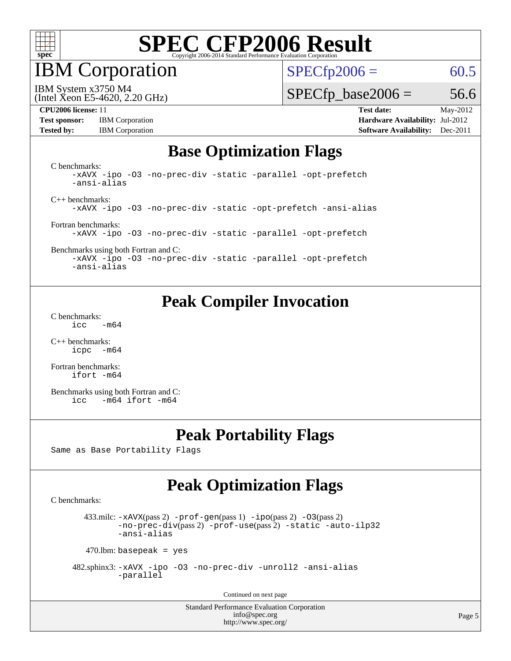

IBM Corporation

 $SPECfp2006 = 60.5$  $SPECfp2006 = 60.5$ 

(Intel Xeon E5-4620, 2.20 GHz) IBM System x3750 M4

 $SPECTp\_base2006 = 56.6$ 

**[Test sponsor:](http://www.spec.org/auto/cpu2006/Docs/result-fields.html#Testsponsor)** IBM Corporation **[Hardware Availability:](http://www.spec.org/auto/cpu2006/Docs/result-fields.html#HardwareAvailability)** Jul-2012

**[CPU2006 license:](http://www.spec.org/auto/cpu2006/Docs/result-fields.html#CPU2006license)** 11 **[Test date:](http://www.spec.org/auto/cpu2006/Docs/result-fields.html#Testdate)** May-2012 **[Tested by:](http://www.spec.org/auto/cpu2006/Docs/result-fields.html#Testedby)** IBM Corporation **[Software Availability:](http://www.spec.org/auto/cpu2006/Docs/result-fields.html#SoftwareAvailability)** Dec-2011

#### **[Base Optimization Flags](http://www.spec.org/auto/cpu2006/Docs/result-fields.html#BaseOptimizationFlags)**

[C benchmarks](http://www.spec.org/auto/cpu2006/Docs/result-fields.html#Cbenchmarks): [-xAVX](http://www.spec.org/cpu2006/results/res2012q3/cpu2006-20120716-23759.flags.html#user_CCbase_f-xAVX) [-ipo](http://www.spec.org/cpu2006/results/res2012q3/cpu2006-20120716-23759.flags.html#user_CCbase_f-ipo) [-O3](http://www.spec.org/cpu2006/results/res2012q3/cpu2006-20120716-23759.flags.html#user_CCbase_f-O3) [-no-prec-div](http://www.spec.org/cpu2006/results/res2012q3/cpu2006-20120716-23759.flags.html#user_CCbase_f-no-prec-div) [-static](http://www.spec.org/cpu2006/results/res2012q3/cpu2006-20120716-23759.flags.html#user_CCbase_f-static) [-parallel](http://www.spec.org/cpu2006/results/res2012q3/cpu2006-20120716-23759.flags.html#user_CCbase_f-parallel) [-opt-prefetch](http://www.spec.org/cpu2006/results/res2012q3/cpu2006-20120716-23759.flags.html#user_CCbase_f-opt-prefetch) [-ansi-alias](http://www.spec.org/cpu2006/results/res2012q3/cpu2006-20120716-23759.flags.html#user_CCbase_f-ansi-alias) [C++ benchmarks:](http://www.spec.org/auto/cpu2006/Docs/result-fields.html#CXXbenchmarks) [-xAVX](http://www.spec.org/cpu2006/results/res2012q3/cpu2006-20120716-23759.flags.html#user_CXXbase_f-xAVX) [-ipo](http://www.spec.org/cpu2006/results/res2012q3/cpu2006-20120716-23759.flags.html#user_CXXbase_f-ipo) [-O3](http://www.spec.org/cpu2006/results/res2012q3/cpu2006-20120716-23759.flags.html#user_CXXbase_f-O3) [-no-prec-div](http://www.spec.org/cpu2006/results/res2012q3/cpu2006-20120716-23759.flags.html#user_CXXbase_f-no-prec-div) [-static](http://www.spec.org/cpu2006/results/res2012q3/cpu2006-20120716-23759.flags.html#user_CXXbase_f-static) [-opt-prefetch](http://www.spec.org/cpu2006/results/res2012q3/cpu2006-20120716-23759.flags.html#user_CXXbase_f-opt-prefetch) [-ansi-alias](http://www.spec.org/cpu2006/results/res2012q3/cpu2006-20120716-23759.flags.html#user_CXXbase_f-ansi-alias) [Fortran benchmarks](http://www.spec.org/auto/cpu2006/Docs/result-fields.html#Fortranbenchmarks): [-xAVX](http://www.spec.org/cpu2006/results/res2012q3/cpu2006-20120716-23759.flags.html#user_FCbase_f-xAVX) [-ipo](http://www.spec.org/cpu2006/results/res2012q3/cpu2006-20120716-23759.flags.html#user_FCbase_f-ipo) [-O3](http://www.spec.org/cpu2006/results/res2012q3/cpu2006-20120716-23759.flags.html#user_FCbase_f-O3) [-no-prec-div](http://www.spec.org/cpu2006/results/res2012q3/cpu2006-20120716-23759.flags.html#user_FCbase_f-no-prec-div) [-static](http://www.spec.org/cpu2006/results/res2012q3/cpu2006-20120716-23759.flags.html#user_FCbase_f-static) [-parallel](http://www.spec.org/cpu2006/results/res2012q3/cpu2006-20120716-23759.flags.html#user_FCbase_f-parallel) [-opt-prefetch](http://www.spec.org/cpu2006/results/res2012q3/cpu2006-20120716-23759.flags.html#user_FCbase_f-opt-prefetch) [Benchmarks using both Fortran and C](http://www.spec.org/auto/cpu2006/Docs/result-fields.html#BenchmarksusingbothFortranandC): [-xAVX](http://www.spec.org/cpu2006/results/res2012q3/cpu2006-20120716-23759.flags.html#user_CC_FCbase_f-xAVX) [-ipo](http://www.spec.org/cpu2006/results/res2012q3/cpu2006-20120716-23759.flags.html#user_CC_FCbase_f-ipo) [-O3](http://www.spec.org/cpu2006/results/res2012q3/cpu2006-20120716-23759.flags.html#user_CC_FCbase_f-O3) [-no-prec-div](http://www.spec.org/cpu2006/results/res2012q3/cpu2006-20120716-23759.flags.html#user_CC_FCbase_f-no-prec-div) [-static](http://www.spec.org/cpu2006/results/res2012q3/cpu2006-20120716-23759.flags.html#user_CC_FCbase_f-static) [-parallel](http://www.spec.org/cpu2006/results/res2012q3/cpu2006-20120716-23759.flags.html#user_CC_FCbase_f-parallel) [-opt-prefetch](http://www.spec.org/cpu2006/results/res2012q3/cpu2006-20120716-23759.flags.html#user_CC_FCbase_f-opt-prefetch) [-ansi-alias](http://www.spec.org/cpu2006/results/res2012q3/cpu2006-20120716-23759.flags.html#user_CC_FCbase_f-ansi-alias)

**[Peak Compiler Invocation](http://www.spec.org/auto/cpu2006/Docs/result-fields.html#PeakCompilerInvocation)**

[C benchmarks](http://www.spec.org/auto/cpu2006/Docs/result-fields.html#Cbenchmarks):  $\text{icc}$  -m64

[C++ benchmarks:](http://www.spec.org/auto/cpu2006/Docs/result-fields.html#CXXbenchmarks) [icpc -m64](http://www.spec.org/cpu2006/results/res2012q3/cpu2006-20120716-23759.flags.html#user_CXXpeak_intel_icpc_64bit_bedb90c1146cab66620883ef4f41a67e)

[Fortran benchmarks](http://www.spec.org/auto/cpu2006/Docs/result-fields.html#Fortranbenchmarks): [ifort -m64](http://www.spec.org/cpu2006/results/res2012q3/cpu2006-20120716-23759.flags.html#user_FCpeak_intel_ifort_64bit_ee9d0fb25645d0210d97eb0527dcc06e)

[Benchmarks using both Fortran and C](http://www.spec.org/auto/cpu2006/Docs/result-fields.html#BenchmarksusingbothFortranandC): [icc -m64](http://www.spec.org/cpu2006/results/res2012q3/cpu2006-20120716-23759.flags.html#user_CC_FCpeak_intel_icc_64bit_0b7121f5ab7cfabee23d88897260401c) [ifort -m64](http://www.spec.org/cpu2006/results/res2012q3/cpu2006-20120716-23759.flags.html#user_CC_FCpeak_intel_ifort_64bit_ee9d0fb25645d0210d97eb0527dcc06e)

#### **[Peak Portability Flags](http://www.spec.org/auto/cpu2006/Docs/result-fields.html#PeakPortabilityFlags)**

Same as Base Portability Flags

### **[Peak Optimization Flags](http://www.spec.org/auto/cpu2006/Docs/result-fields.html#PeakOptimizationFlags)**

[C benchmarks](http://www.spec.org/auto/cpu2006/Docs/result-fields.html#Cbenchmarks):

433.milc:  $-x$ AVX(pass 2)  $-p$ rof-gen(pass 1)  $-p$ po(pass 2)  $-03$ (pass 2) [-no-prec-div](http://www.spec.org/cpu2006/results/res2012q3/cpu2006-20120716-23759.flags.html#user_peakPASS2_CFLAGSPASS2_LDFLAGS433_milc_f-no-prec-div)(pass 2) [-prof-use](http://www.spec.org/cpu2006/results/res2012q3/cpu2006-20120716-23759.flags.html#user_peakPASS2_CFLAGSPASS2_LDFLAGS433_milc_prof_use_bccf7792157ff70d64e32fe3e1250b55)(pass 2) [-static](http://www.spec.org/cpu2006/results/res2012q3/cpu2006-20120716-23759.flags.html#user_peakOPTIMIZE433_milc_f-static) [-auto-ilp32](http://www.spec.org/cpu2006/results/res2012q3/cpu2006-20120716-23759.flags.html#user_peakCOPTIMIZE433_milc_f-auto-ilp32) [-ansi-alias](http://www.spec.org/cpu2006/results/res2012q3/cpu2006-20120716-23759.flags.html#user_peakCOPTIMIZE433_milc_f-ansi-alias)

 $470$ .lbm: basepeak = yes

 482.sphinx3: [-xAVX](http://www.spec.org/cpu2006/results/res2012q3/cpu2006-20120716-23759.flags.html#user_peakOPTIMIZE482_sphinx3_f-xAVX) [-ipo](http://www.spec.org/cpu2006/results/res2012q3/cpu2006-20120716-23759.flags.html#user_peakOPTIMIZE482_sphinx3_f-ipo) [-O3](http://www.spec.org/cpu2006/results/res2012q3/cpu2006-20120716-23759.flags.html#user_peakOPTIMIZE482_sphinx3_f-O3) [-no-prec-div](http://www.spec.org/cpu2006/results/res2012q3/cpu2006-20120716-23759.flags.html#user_peakOPTIMIZE482_sphinx3_f-no-prec-div) [-unroll2](http://www.spec.org/cpu2006/results/res2012q3/cpu2006-20120716-23759.flags.html#user_peakCOPTIMIZE482_sphinx3_f-unroll_784dae83bebfb236979b41d2422d7ec2) [-ansi-alias](http://www.spec.org/cpu2006/results/res2012q3/cpu2006-20120716-23759.flags.html#user_peakCOPTIMIZE482_sphinx3_f-ansi-alias) [-parallel](http://www.spec.org/cpu2006/results/res2012q3/cpu2006-20120716-23759.flags.html#user_peakCOPTIMIZE482_sphinx3_f-parallel)

Continued on next page

Standard Performance Evaluation Corporation [info@spec.org](mailto:info@spec.org) <http://www.spec.org/>

Page 5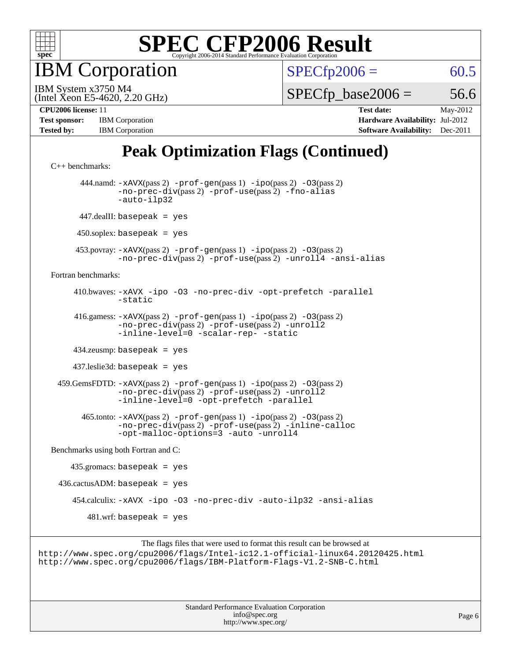

IBM Corporation

 $SPECfp2006 = 60.5$  $SPECfp2006 = 60.5$ 

(Intel Xeon E5-4620, 2.20 GHz) IBM System x3750 M4

 $SPECTp\_base2006 = 56.6$ 

| <b>Test sponsor:</b> | <b>IBM</b> Corporation |
|----------------------|------------------------|
| <b>Tested by:</b>    | <b>IBM</b> Corporation |

**[CPU2006 license:](http://www.spec.org/auto/cpu2006/Docs/result-fields.html#CPU2006license)** 11 **[Test date:](http://www.spec.org/auto/cpu2006/Docs/result-fields.html#Testdate)** May-2012 **[Hardware Availability:](http://www.spec.org/auto/cpu2006/Docs/result-fields.html#HardwareAvailability)** Jul-2012 **[Software Availability:](http://www.spec.org/auto/cpu2006/Docs/result-fields.html#SoftwareAvailability)** Dec-2011

### **[Peak Optimization Flags \(Continued\)](http://www.spec.org/auto/cpu2006/Docs/result-fields.html#PeakOptimizationFlags)**

```
C++ benchmarks: 
       444.namd: -xAVX(pass 2) -prof-gen(pass 1) -ipo(pass 2) -O3(pass 2)
               -no-prec-div(pass 2) -prof-use(pass 2) -fno-alias
               -auto-ilp32
       447.dealII: basepeak = yes
      450.soplex: basepeak = yes
      453.povray: -xAVX(pass 2) -prof-gen(pass 1) -ipo(pass 2) -O3(pass 2)
               -no-prec-div(pass 2) -prof-use(pass 2) -unroll4 -ansi-alias
Fortran benchmarks: 
      410.bwaves: -xAVX -ipo -O3 -no-prec-div -opt-prefetch -parallel
               -static
      416.gamess: -xAVX(pass 2) -prof-gen(pass 1) -ipo(pass 2) -O3(pass 2)
                -no-prec-div(pass 2) -prof-use(pass 2) -unroll2
               -inline-level=0-scalar-rep--static
      434.zeusmp: basepeak = yes
      437.leslie3d: basepeak = yes
  459.GemsFDTD: -xAVX(pass 2) -prof-gen(pass 1) -ipo(pass 2) -O3(pass 2)
               -no-prec-div(pass 2) -prof-use(pass 2) -unroll2
               -inline-level=0 -opt-prefetch -parallel
        465.tonto: -xAVX(pass 2) -prof-gen(pass 1) -ipo(pass 2) -O3(pass 2)
               -no-prec-div(pass 2) -prof-use(pass 2) -inline-calloc
               -opt-malloc-options=3 -auto -unroll4
Benchmarks using both Fortran and C: 
    435.\text{gromacs: basepeak} = yes
 436.cactusADM:basepeak = yes 454.calculix: -xAVX -ipo -O3 -no-prec-div -auto-ilp32 -ansi-alias
        481.wrf: basepeak = yes
```
The flags files that were used to format this result can be browsed at <http://www.spec.org/cpu2006/flags/Intel-ic12.1-official-linux64.20120425.html> <http://www.spec.org/cpu2006/flags/IBM-Platform-Flags-V1.2-SNB-C.html>